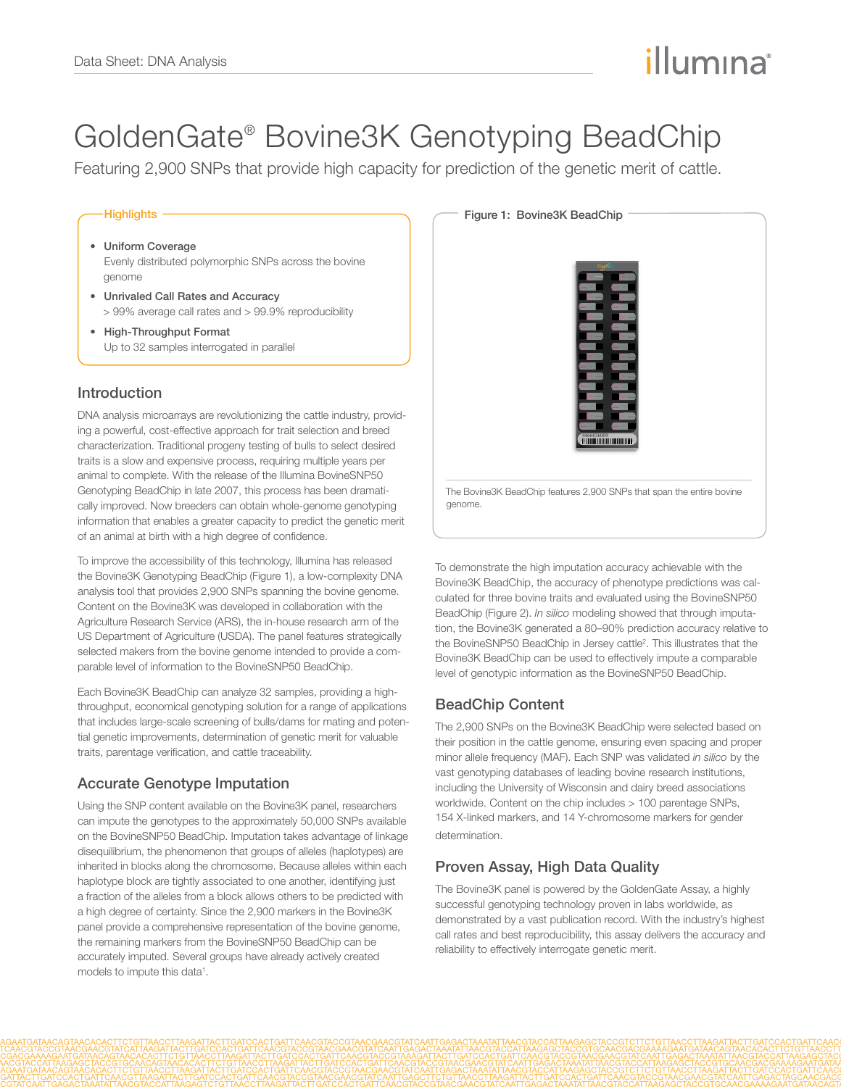# illumına

## GoldenGate® Bovine3K Genotyping BeadChip

Featuring 2,900 SNPs that provide high capacity for prediction of the genetic merit of cattle.

#### **Highlights**

- • Uniform Coverage Evenly distributed polymorphic SNPs across the bovine genome
- • Unrivaled Call Rates and Accuracy > 99% average call rates and > 99.9% reproducibility
- • High-Throughput Format Up to 32 samples interrogated in parallel

#### Introduction

DNA analysis microarrays are revolutionizing the cattle industry, providing a powerful, cost-effective approach for trait selection and breed characterization. Traditional progeny testing of bulls to select desired traits is a slow and expensive process, requiring multiple years per animal to complete. With the release of the Illumina BovineSNP50 Genotyping BeadChip in late 2007, this process has been dramatically improved. Now breeders can obtain whole-genome genotyping information that enables a greater capacity to predict the genetic merit of an animal at birth with a high degree of confidence.

To improve the accessibility of this technology, Illumina has released the Bovine3K Genotyping BeadChip (Figure 1), a low-complexity DNA analysis tool that provides 2,900 SNPs spanning the bovine genome. Content on the Bovine3K was developed in collaboration with the Agriculture Research Service (ARS), the in-house research arm of the US Department of Agriculture (USDA). The panel features strategically selected makers from the bovine genome intended to provide a comparable level of information to the BovineSNP50 BeadChip.

Each Bovine3K BeadChip can analyze 32 samples, providing a highthroughput, economical genotyping solution for a range of applications that includes large-scale screening of bulls/dams for mating and potential genetic improvements, determination of genetic merit for valuable traits, parentage verification, and cattle traceability.

#### Accurate Genotype Imputation

Using the SNP content available on the Bovine3K panel, researchers can impute the genotypes to the approximately 50,000 SNPs available on the BovineSNP50 BeadChip. Imputation takes advantage of linkage disequilibrium, the phenomenon that groups of alleles (haplotypes) are inherited in blocks along the chromosome. Because alleles within each haplotype block are tightly associated to one another, identifying just a fraction of the alleles from a block allows others to be predicted with a high degree of certainty. Since the 2,900 markers in the Bovine3K panel provide a comprehensive representation of the bovine genome, the remaining markers from the BovineSNP50 BeadChip can be accurately imputed. Several groups have already actively created models to impute this data<sup>1</sup>.



To demonstrate the high imputation accuracy achievable with the Bovine3K BeadChip, the accuracy of phenotype predictions was calculated for three bovine traits and evaluated using the BovineSNP50 BeadChip (Figure 2). *In silico* modeling showed that through imputation, the Bovine3K generated a 80–90% prediction accuracy relative to the BovineSNP50 BeadChip in Jersey cattle<sup>2</sup>. This illustrates that the Bovine3K BeadChip can be used to effectively impute a comparable level of genotypic information as the BovineSNP50 BeadChip.

## BeadChip Content

The 2,900 SNPs on the Bovine3K BeadChip were selected based on their position in the cattle genome, ensuring even spacing and proper minor allele frequency (MAF). Each SNP was validated *in silico* by the vast genotyping databases of leading bovine research institutions, including the University of Wisconsin and dairy breed associations worldwide. Content on the chip includes > 100 parentage SNPs, 154 X-linked markers, and 14 Y-chromosome markers for gender determination.

## Proven Assay, High Data Quality

The Bovine3K panel is powered by the GoldenGate Assay, a highly successful genotyping technology proven in labs worldwide, as demonstrated by a vast publication record. With the industry's highest call rates and best reproducibility, this assay delivers the accuracy and reliability to effectively interrogate genetic merit.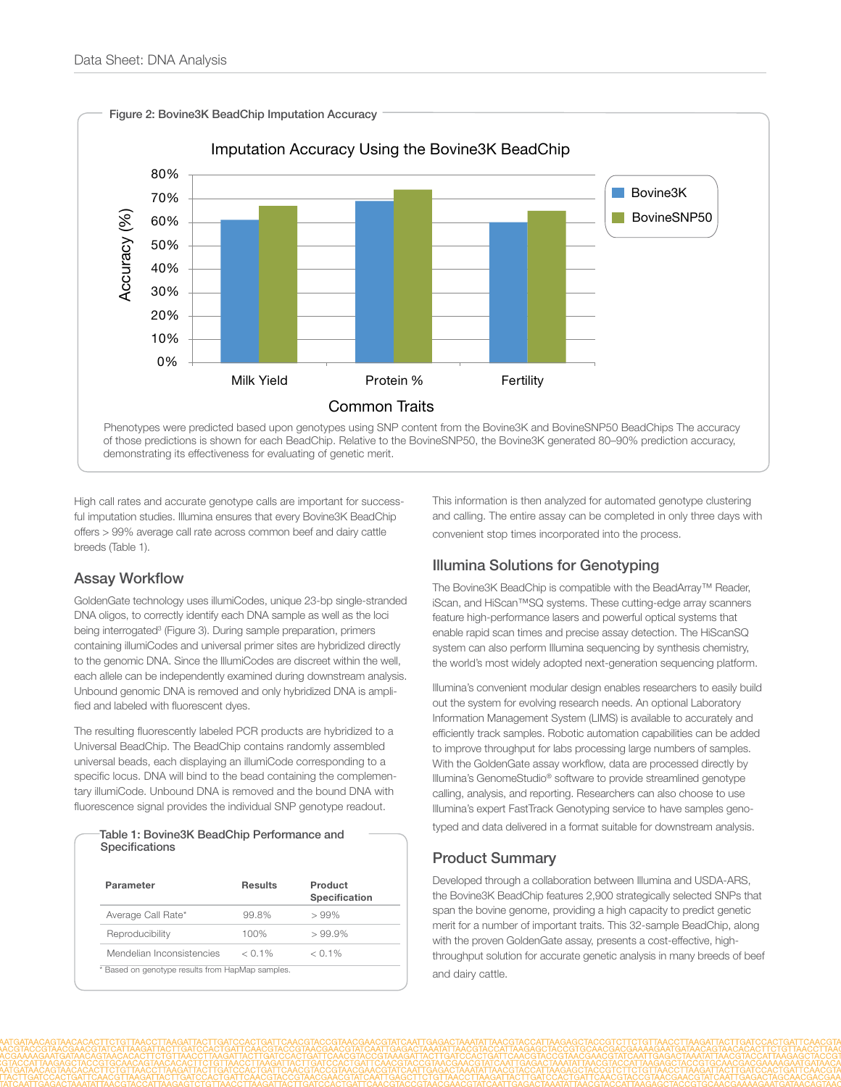

High call rates and accurate genotype calls are important for successful imputation studies. Illumina ensures that every Bovine3K BeadChip offers > 99% average call rate across common beef and dairy cattle breeds (Table 1).

## Assay Workflow

GoldenGate technology uses illumiCodes, unique 23-bp single-stranded DNA oligos, to correctly identify each DNA sample as well as the loci being interrogated<sup>3</sup> (Figure 3). During sample preparation, primers containing illumiCodes and universal primer sites are hybridized directly to the genomic DNA. Since the IllumiCodes are discreet within the well, each allele can be independently examined during downstream analysis. Unbound genomic DNA is removed and only hybridized DNA is amplified and labeled with fluorescent dyes.

The resulting fluorescently labeled PCR products are hybridized to a Universal BeadChip. The BeadChip contains randomly assembled universal beads, each displaying an illumiCode corresponding to a specific locus. DNA will bind to the bead containing the complementary illumiCode. Unbound DNA is removed and the bound DNA with fluorescence signal provides the individual SNP genotype readout.

#### Table 1: Bovine3K BeadChip Performance and Specifications

| Parameter                 | Results   | Product<br><b>Specification</b> |
|---------------------------|-----------|---------------------------------|
| Average Call Rate*        | 99.8%     | >99%                            |
| Reproducibility           | 100%      | $>99.9\%$                       |
| Mendelian Inconsistencies | $< 0.1\%$ | $< 0.1\%$                       |

This information is then analyzed for automated genotype clustering and calling. The entire assay can be completed in only three days with convenient stop times incorporated into the process.

## Illumina Solutions for Genotyping

The Bovine3K BeadChip is compatible with the BeadArray™ Reader, iScan, and HiScan™SQ systems. These cutting-edge array scanners feature high-performance lasers and powerful optical systems that enable rapid scan times and precise assay detection. The HiScanSQ system can also perform Illumina sequencing by synthesis chemistry, the world's most widely adopted next-generation sequencing platform.

Illumina's convenient modular design enables researchers to easily build out the system for evolving research needs. An optional Laboratory Information Management System (LIMS) is available to accurately and efficiently track samples. Robotic automation capabilities can be added to improve throughput for labs processing large numbers of samples. With the GoldenGate assay workflow, data are processed directly by Illumina's GenomeStudio® software to provide streamlined genotype calling, analysis, and reporting. Researchers can also choose to use Illumina's expert FastTrack Genotyping service to have samples genotyped and data delivered in a format suitable for downstream analysis.

## Product Summary

Developed through a collaboration between Illumina and USDA-ARS, the Bovine3K BeadChip features 2,900 strategically selected SNPs that span the bovine genome, providing a high capacity to predict genetic merit for a number of important traits. This 32-sample BeadChip, along with the proven GoldenGate assay, presents a cost-effective, highthroughput solution for accurate genetic analysis in many breeds of beef and dairy cattle.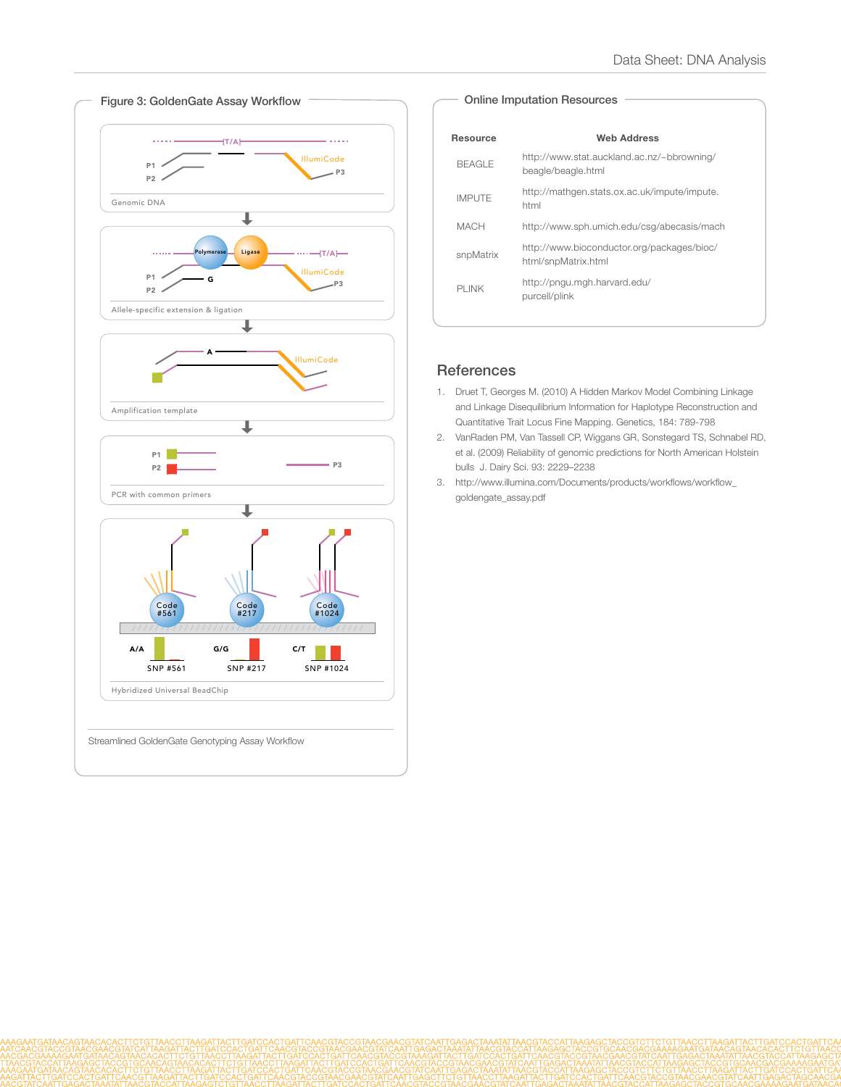

#### Online Imputation Resources

| Resource      | Web Address                                                       |  |
|---------------|-------------------------------------------------------------------|--|
| <b>BEAGLE</b> | http://www.stat.auckland.ac.nz/~bbrowning/<br>beagle/beagle.html  |  |
| <b>IMPUTE</b> | http://mathgen.stats.ox.ac.uk/impute/impute.<br>html              |  |
| МАСН          | http://www.sph.umich.edu/csq/abecasis/mach                        |  |
| snpMatrix     | http://www.bioconductor.org/packages/bioc/<br>html/snpMatrix.html |  |
| PI INK        | http://pngu.mgh.harvard.edu/<br>purcell/plink                     |  |

## **References**

- 1. Druet T, Georges M. (2010) A Hidden Markov Model Combining Linkage and Linkage Disequilibrium Information for Haplotype Reconstruction and Quantitative Trait Locus Fine Mapping. Genetics, 184: 789-798
- 2. VanRaden PM, Van Tassell CP, Wiggans GR, Sonstegard TS, Schnabel RD, et al. (2009) Reliability of genomic predictions for North American Holstein bulls J. Dairy Sci. 93: 2229–2238
- 3. http://www.illumina.com/Documents/products/workflows/workflow\_ goldengate\_assay.pdf